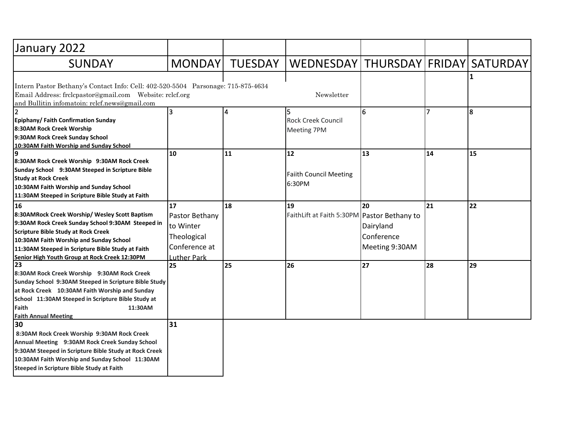| January 2022                                                                                                                                                                                                                                                                                             |                                                                                         |                |                                                   |                                                 |    |    |
|----------------------------------------------------------------------------------------------------------------------------------------------------------------------------------------------------------------------------------------------------------------------------------------------------------|-----------------------------------------------------------------------------------------|----------------|---------------------------------------------------|-------------------------------------------------|----|----|
| <b>SUNDAY</b>                                                                                                                                                                                                                                                                                            | <b>MONDAY</b>                                                                           | <b>TUESDAY</b> | WEDNESDAY   THURSDAY   FRIDAY   SATURDAY          |                                                 |    |    |
| Intern Pastor Bethany's Contact Info: Cell: 402-520-5504 Parsonage: 715-875-4634<br>Email Address: frclcpastor@gmail.com    Website: rclcf.org<br>and Bullitin infomatoin: rclcf.news@gmail.com                                                                                                          |                                                                                         |                | Newsletter                                        |                                                 |    |    |
| $\overline{2}$<br>Epiphany/ Faith Confirmation Sunday<br>8:30AM Rock Creek Worship<br>9:30AM Rock Creek Sunday School<br>10:30AM Faith Worship and Sunday School                                                                                                                                         | 3                                                                                       | 4              | l5.<br><b>Rock Creek Council</b><br>Meeting 7PM   | 6                                               | 7  | 8  |
| 9<br>8:30AM Rock Creek Worship 9:30AM Rock Creek<br>Sunday School 9:30AM Steeped in Scripture Bible<br><b>Study at Rock Creek</b><br>10:30AM Faith Worship and Sunday School<br>11:30AM Steeped in Scripture Bible Study at Faith                                                                        | 10                                                                                      | 11             | $12$<br><b>Faiith Council Meeting</b><br>6:30PM   | 13                                              | 14 | 15 |
| 16<br>8:30AMRock Creek Worship/ Wesley Scott Baptism<br>9:30AM Rock Creek Sunday School 9:30AM Steeped in<br><b>Scripture Bible Study at Rock Creek</b><br>10:30AM Faith Worship and Sunday School<br>11:30AM Steeped in Scripture Bible Study at Faith<br>Senior High Youth Group at Rock Creek 12:30PM | 17<br>Pastor Bethany<br>to Winter<br>Theological<br>Conference at<br><b>Luther Park</b> | 18             | 19<br>FaithLift at Faith 5:30PM Pastor Bethany to | 20<br>Dairyland<br>Conference<br>Meeting 9:30AM | 21 | 22 |
| 23<br>8:30AM Rock Creek Worship 9:30AM Rock Creek<br>Sunday School 9:30AM Steeped in Scripture Bible Study<br>at Rock Creek 10:30AM Faith Worship and Sunday<br>School 11:30AM Steeped in Scripture Bible Study at<br>Faith<br>11:30AM<br><b>Faith Annual Meeting</b>                                    | 25                                                                                      | 25             | 26                                                | 27                                              | 28 | 29 |
| 30<br>8:30AM Rock Creek Worship 9:30AM Rock Creek<br>Annual Meeting 9:30AM Rock Creek Sunday School<br>9:30AM Steeped in Scripture Bible Study at Rock Creek<br>10:30AM Faith Worship and Sunday School 11:30AM<br>Steeped in Scripture Bible Study at Faith                                             | 31                                                                                      |                |                                                   |                                                 |    |    |